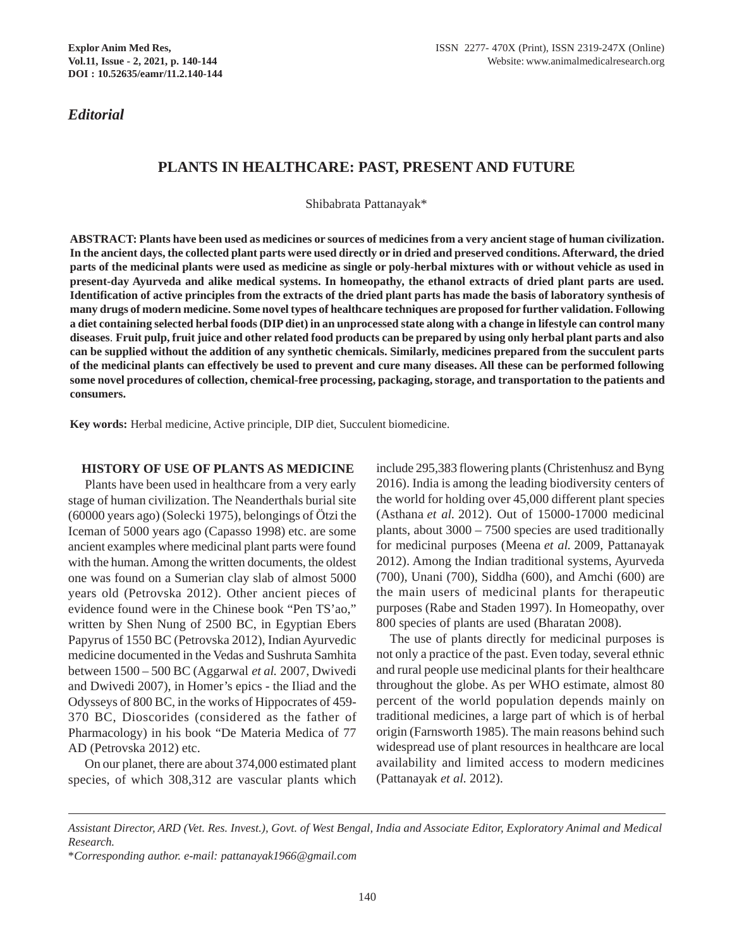*Editorial*

## **PLANTS IN HEALTHCARE: PAST, PRESENT AND FUTURE**

Shibabrata Pattanayak\*

**ABSTRACT: Plants have been used as medicines or sources of medicines from a very ancient stage of human civilization. In the ancient days, the collected plant parts were used directly or in dried and preserved conditions. Afterward, the dried parts of the medicinal plants were used as medicine as single or poly-herbal mixtures with or without vehicle as used in present-day Ayurveda and alike medical systems. In homeopathy, the ethanol extracts of dried plant parts are used. Identification of active principles from the extracts of the dried plant parts has made the basis of laboratory synthesis of many drugs of modern medicine. Some novel types of healthcare techniques are proposed for further validation. Following a diet containing selected herbal foods (DIP diet) in an unprocessed state along with a change in lifestyle can control many diseases**. **Fruit pulp, fruit juice and other related food products can be prepared by using only herbal plant parts and also can be supplied without the addition of any synthetic chemicals. Similarly, medicines prepared from the succulent parts of the medicinal plants can effectively be used to prevent and cure many diseases. All these can be performed following some novel procedures of collection, chemical-free processing, packaging, storage, and transportation to the patients and consumers.** 

**Key words:** Herbal medicine, Active principle, DIP diet, Succulent biomedicine.

#### **HISTORY OF USE OF PLANTS AS MEDICINE**

Plants have been used in healthcare from a very early stage of human civilization. The Neanderthals burial site (60000 years ago) (Solecki 1975), belongings of Ötzi the Iceman of 5000 years ago (Capasso 1998) etc. are some ancient examples where medicinal plant parts were found with the human. Among the written documents, the oldest one was found on a Sumerian clay slab of almost 5000 years old (Petrovska 2012). Other ancient pieces of evidence found were in the Chinese book "Pen TS'ao," written by Shen Nung of 2500 BC, in Egyptian Ebers Papyrus of 1550 BC (Petrovska 2012), Indian Ayurvedic medicine documented in the Vedas and Sushruta Samhita between 1500 – 500 BC (Aggarwal *et al.* 2007, Dwivedi and Dwivedi 2007), in Homer's epics - the Iliad and the Odysseys of 800 BC, in the works of Hippocrates of 459- 370 BC, Dioscorides (considered as the father of Pharmacology) in his book "De Materia Medica of 77 AD (Petrovska 2012) etc.

 On our planet, there are about 374,000 estimated plant species, of which 308,312 are vascular plants which

include 295,383 flowering plants (Christenhusz and Byng 2016). India is among the leading biodiversity centers of the world for holding over 45,000 different plant species (Asthana *et al.* 2012). Out of 15000-17000 medicinal plants, about 3000 – 7500 species are used traditionally for medicinal purposes (Meena *et al.* 2009, Pattanayak 2012). Among the Indian traditional systems, Ayurveda (700), Unani (700), Siddha (600), and Amchi (600) are the main users of medicinal plants for therapeutic purposes (Rabe and Staden 1997). In Homeopathy, over 800 species of plants are used (Bharatan 2008).

The use of plants directly for medicinal purposes is not only a practice of the past. Even today, several ethnic and rural people use medicinal plants for their healthcare throughout the globe. As per WHO estimate, almost 80 percent of the world population depends mainly on traditional medicines, a large part of which is of herbal origin (Farnsworth 1985). The main reasons behind such widespread use of plant resources in healthcare are local availability and limited access to modern medicines (Pattanayak *et al.* 2012).

*Assistant Director, ARD (Vet. Res. Invest.), Govt. of West Bengal, India and Associate Editor, Exploratory Animal and Medical Research.*

<sup>\*</sup>*Corresponding author. e-mail: pattanayak1966@gmail.com*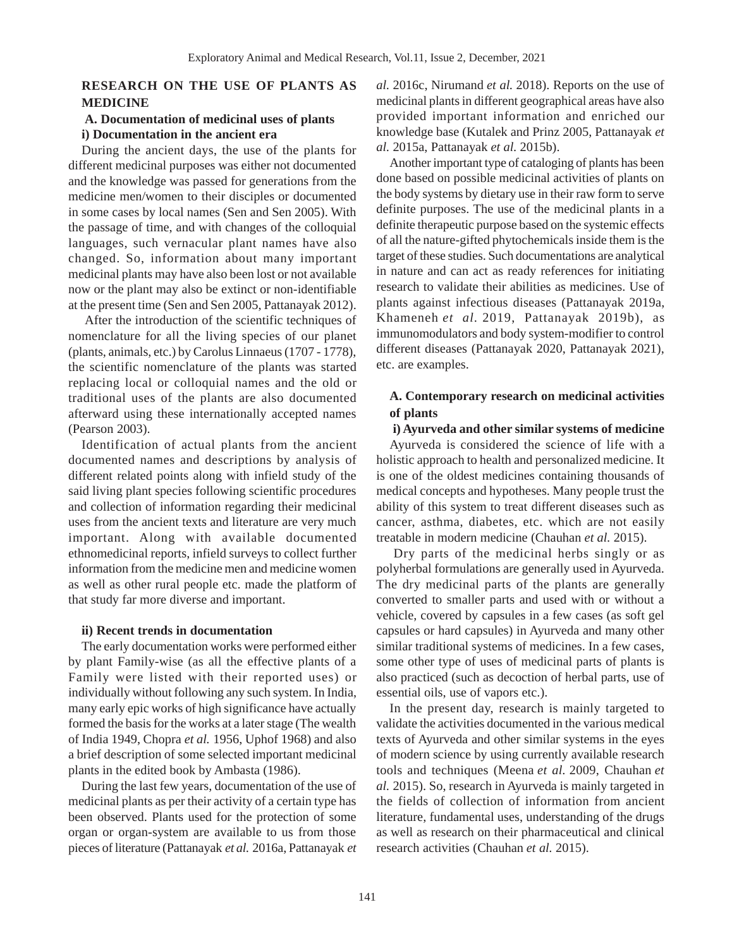## **RESEARCH ON THE USE OF PLANTS AS MEDICINE**

#### **A. Documentation of medicinal uses of plants i) Documentation in the ancient era**

During the ancient days, the use of the plants for different medicinal purposes was either not documented and the knowledge was passed for generations from the medicine men/women to their disciples or documented in some cases by local names (Sen and Sen 2005). With the passage of time, and with changes of the colloquial languages, such vernacular plant names have also changed. So, information about many important medicinal plants may have also been lost or not available now or the plant may also be extinct or non-identifiable at the present time (Sen and Sen 2005, Pattanayak 2012).

 After the introduction of the scientific techniques of nomenclature for all the living species of our planet (plants, animals, etc.) by Carolus Linnaeus (1707 - 1778), the scientific nomenclature of the plants was started replacing local or colloquial names and the old or traditional uses of the plants are also documented afterward using these internationally accepted names (Pearson 2003).

Identification of actual plants from the ancient documented names and descriptions by analysis of different related points along with infield study of the said living plant species following scientific procedures and collection of information regarding their medicinal uses from the ancient texts and literature are very much important. Along with available documented ethnomedicinal reports, infield surveys to collect further information from the medicine men and medicine women as well as other rural people etc. made the platform of that study far more diverse and important.

#### **ii) Recent trends in documentation**

The early documentation works were performed either by plant Family-wise (as all the effective plants of a Family were listed with their reported uses) or individually without following any such system. In India, many early epic works of high significance have actually formed the basis for the works at a later stage (The wealth of India 1949, Chopra *et al.* 1956, Uphof 1968) and also a brief description of some selected important medicinal plants in the edited book by Ambasta (1986).

During the last few years, documentation of the use of medicinal plants as per their activity of a certain type has been observed. Plants used for the protection of some organ or organ-system are available to us from those pieces of literature (Pattanayak *et al.* 2016a, Pattanayak *et*

*al.* 2016c, Nirumand *et al.* 2018). Reports on the use of medicinal plants in different geographical areas have also provided important information and enriched our knowledge base (Kutalek and Prinz 2005, Pattanayak *et al.* 2015a, Pattanayak *et al.* 2015b).

Another important type of cataloging of plants has been done based on possible medicinal activities of plants on the body systems by dietary use in their raw form to serve definite purposes. The use of the medicinal plants in a definite therapeutic purpose based on the systemic effects of all the nature-gifted phytochemicals inside them is the target of these studies. Such documentations are analytical in nature and can act as ready references for initiating research to validate their abilities as medicines. Use of plants against infectious diseases (Pattanayak 2019a, Khameneh *et al.* 2019, Pattanayak 2019b), as immunomodulators and body system-modifier to control different diseases (Pattanayak 2020, Pattanayak 2021), etc. are examples.

## **A. Contemporary research on medicinal activities of plants**

**i) Ayurveda and other similar systems of medicine**

Ayurveda is considered the science of life with a holistic approach to health and personalized medicine. It is one of the oldest medicines containing thousands of medical concepts and hypotheses. Many people trust the ability of this system to treat different diseases such as cancer, asthma, diabetes, etc. which are not easily treatable in modern medicine (Chauhan *et al.* 2015).

 Dry parts of the medicinal herbs singly or as polyherbal formulations are generally used in Ayurveda. The dry medicinal parts of the plants are generally converted to smaller parts and used with or without a vehicle, covered by capsules in a few cases (as soft gel capsules or hard capsules) in Ayurveda and many other similar traditional systems of medicines. In a few cases, some other type of uses of medicinal parts of plants is also practiced (such as decoction of herbal parts, use of essential oils, use of vapors etc.).

In the present day, research is mainly targeted to validate the activities documented in the various medical texts of Ayurveda and other similar systems in the eyes of modern science by using currently available research tools and techniques (Meena *et al.* 2009, Chauhan *et al.* 2015). So, research in Ayurveda is mainly targeted in the fields of collection of information from ancient literature, fundamental uses, understanding of the drugs as well as research on their pharmaceutical and clinical research activities (Chauhan *et al.* 2015).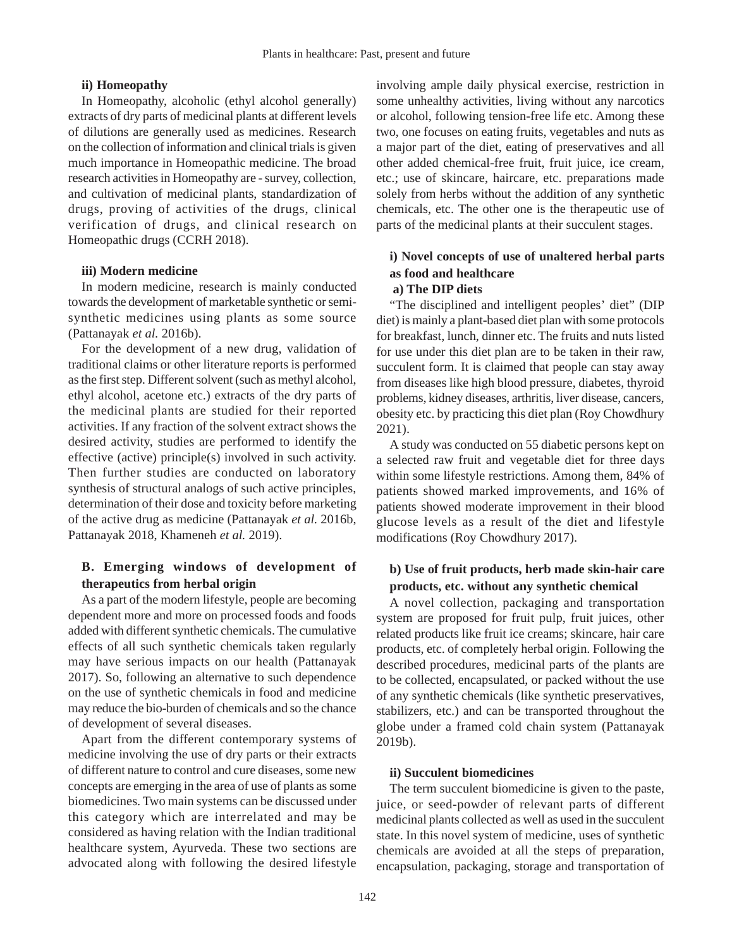### **ii) Homeopathy**

In Homeopathy, alcoholic (ethyl alcohol generally) extracts of dry parts of medicinal plants at different levels of dilutions are generally used as medicines. Research on the collection of information and clinical trials is given much importance in Homeopathic medicine. The broad research activities in Homeopathy are - survey, collection, and cultivation of medicinal plants, standardization of drugs, proving of activities of the drugs, clinical verification of drugs, and clinical research on Homeopathic drugs (CCRH 2018).

#### **iii) Modern medicine**

In modern medicine, research is mainly conducted towards the development of marketable synthetic or semisynthetic medicines using plants as some source (Pattanayak *et al.* 2016b).

For the development of a new drug, validation of traditional claims or other literature reports is performed as the first step. Different solvent (such as methyl alcohol, ethyl alcohol, acetone etc.) extracts of the dry parts of the medicinal plants are studied for their reported activities. If any fraction of the solvent extract shows the desired activity, studies are performed to identify the effective (active) principle(s) involved in such activity. Then further studies are conducted on laboratory synthesis of structural analogs of such active principles, determination of their dose and toxicity before marketing of the active drug as medicine (Pattanayak *et al.* 2016b, Pattanayak 2018, Khameneh *et al.* 2019).

## **B. Emerging windows of development of therapeutics from herbal origin**

As a part of the modern lifestyle, people are becoming dependent more and more on processed foods and foods added with different synthetic chemicals. The cumulative effects of all such synthetic chemicals taken regularly may have serious impacts on our health (Pattanayak 2017). So, following an alternative to such dependence on the use of synthetic chemicals in food and medicine may reduce the bio-burden of chemicals and so the chance of development of several diseases.

Apart from the different contemporary systems of medicine involving the use of dry parts or their extracts of different nature to control and cure diseases, some new concepts are emerging in the area of use of plants as some biomedicines. Two main systems can be discussed under this category which are interrelated and may be considered as having relation with the Indian traditional healthcare system, Ayurveda. These two sections are advocated along with following the desired lifestyle

involving ample daily physical exercise, restriction in some unhealthy activities, living without any narcotics or alcohol, following tension-free life etc. Among these two, one focuses on eating fruits, vegetables and nuts as a major part of the diet, eating of preservatives and all other added chemical-free fruit, fruit juice, ice cream, etc.; use of skincare, haircare, etc. preparations made solely from herbs without the addition of any synthetic chemicals, etc. The other one is the therapeutic use of parts of the medicinal plants at their succulent stages.

# **i) Novel concepts of use of unaltered herbal parts as food and healthcare**

# **a) The DIP diets**

"The disciplined and intelligent peoples' diet" (DIP diet) is mainly a plant-based diet plan with some protocols for breakfast, lunch, dinner etc. The fruits and nuts listed for use under this diet plan are to be taken in their raw, succulent form. It is claimed that people can stay away from diseases like high blood pressure, diabetes, thyroid problems, kidney diseases, arthritis, liver disease, cancers, obesity etc. by practicing this diet plan (Roy Chowdhury 2021).

A study was conducted on 55 diabetic persons kept on a selected raw fruit and vegetable diet for three days within some lifestyle restrictions. Among them, 84% of patients showed marked improvements, and 16% of patients showed moderate improvement in their blood glucose levels as a result of the diet and lifestyle modifications (Roy Chowdhury 2017).

## **b) Use of fruit products, herb made skin-hair care products, etc. without any synthetic chemical**

A novel collection, packaging and transportation system are proposed for fruit pulp, fruit juices, other related products like fruit ice creams; skincare, hair care products, etc. of completely herbal origin. Following the described procedures, medicinal parts of the plants are to be collected, encapsulated, or packed without the use of any synthetic chemicals (like synthetic preservatives, stabilizers, etc.) and can be transported throughout the globe under a framed cold chain system (Pattanayak 2019b).

#### **ii) Succulent biomedicines**

The term succulent biomedicine is given to the paste, juice, or seed-powder of relevant parts of different medicinal plants collected as well as used in the succulent state. In this novel system of medicine, uses of synthetic chemicals are avoided at all the steps of preparation, encapsulation, packaging, storage and transportation of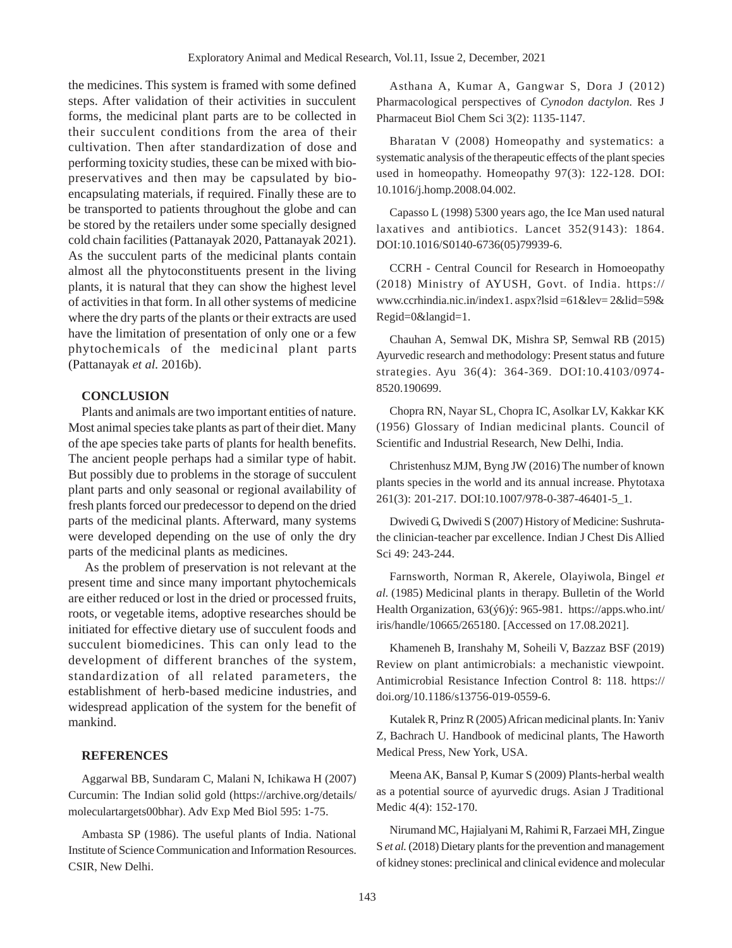the medicines. This system is framed with some defined steps. After validation of their activities in succulent forms, the medicinal plant parts are to be collected in their succulent conditions from the area of their cultivation. Then after standardization of dose and performing toxicity studies, these can be mixed with biopreservatives and then may be capsulated by bioencapsulating materials, if required. Finally these are to be transported to patients throughout the globe and can be stored by the retailers under some specially designed cold chain facilities (Pattanayak 2020, Pattanayak 2021). As the succulent parts of the medicinal plants contain almost all the phytoconstituents present in the living plants, it is natural that they can show the highest level of activities in that form. In all other systems of medicine where the dry parts of the plants or their extracts are used have the limitation of presentation of only one or a few phytochemicals of the medicinal plant parts (Pattanayak *et al.* 2016b).

## **CONCLUSION**

Plants and animals are two important entities of nature. Most animal species take plants as part of their diet. Many of the ape species take parts of plants for health benefits. The ancient people perhaps had a similar type of habit. But possibly due to problems in the storage of succulent plant parts and only seasonal or regional availability of fresh plants forced our predecessor to depend on the dried parts of the medicinal plants. Afterward, many systems were developed depending on the use of only the dry parts of the medicinal plants as medicines.

 As the problem of preservation is not relevant at the present time and since many important phytochemicals are either reduced or lost in the dried or processed fruits, roots, or vegetable items, adoptive researches should be initiated for effective dietary use of succulent foods and succulent biomedicines. This can only lead to the development of different branches of the system, standardization of all related parameters, the establishment of herb-based medicine industries, and widespread application of the system for the benefit of mankind.

#### **REFERENCES**

Aggarwal BB, Sundaram C, Malani N, Ichikawa H (2007) Curcumin: The Indian solid gold (https://archive.org/details/ moleculartargets00bhar). Adv Exp Med Biol 595: 1-75.

Ambasta SP (1986). The useful plants of India. National Institute of Science Communication and Information Resources. CSIR, New Delhi.

Asthana A, Kumar A, Gangwar S, Dora J (2012) Pharmacological perspectives of *Cynodon dactylon.* Res J Pharmaceut Biol Chem Sci 3(2): 1135-1147.

Bharatan V (2008) Homeopathy and systematics: a systematic analysis of the therapeutic effects of the plant species used in homeopathy. Homeopathy 97(3): 122-128. DOI: 10.1016/j.homp.2008.04.002.

Capasso L (1998) 5300 years ago, the Ice Man used natural laxatives and antibiotics. Lancet 352(9143): 1864. DOI:10.1016/S0140-6736(05)79939-6.

CCRH - Central Council for Research in Homoeopathy (2018) Ministry of AYUSH, Govt. of India. https:// www.ccrhindia.nic.in/index1. aspx?lsid =61&lev= 2&lid=59& Regid=0&langid=1.

Chauhan A, Semwal DK, Mishra SP, Semwal RB (2015) Ayurvedic research and methodology: Present status and future strategies. Ayu 36(4): 364-369. DOI:10.4103/0974- 8520.190699.

Chopra RN, Nayar SL, Chopra IC, Asolkar LV, Kakkar KK (1956) Glossary of Indian medicinal plants. Council of Scientific and Industrial Research, New Delhi, India.

Christenhusz MJM, Byng JW (2016) The number of known plants species in the world and its annual increase. Phytotaxa 261(3): 201-217. DOI:10.1007/978-0-387-46401-5\_1.

Dwivedi G, Dwivedi S (2007) History of Medicine: Sushrutathe clinician-teacher par excellence. Indian J Chest Dis Allied Sci 49: 243-244.

Farnsworth, Norman R, Akerele, Olayiwola, Bingel *et al.* (1985) Medicinal plants in therapy. Bulletin of the World Health Organization, 63(ý6)ý: 965-981. https://apps.who.int/ iris/handle/10665/265180. [Accessed on 17.08.2021].

Khameneh B, Iranshahy M, Soheili V, Bazzaz BSF (2019) Review on plant antimicrobials: a mechanistic viewpoint. Antimicrobial Resistance Infection Control 8: 118. https:// doi.org/10.1186/s13756-019-0559-6.

Kutalek R, Prinz R (2005) African medicinal plants. In: Yaniv Z, Bachrach U. Handbook of medicinal plants, The Haworth Medical Press, New York, USA.

Meena AK, Bansal P, Kumar S (2009) Plants-herbal wealth as a potential source of ayurvedic drugs. Asian J Traditional Medic 4(4): 152-170.

Nirumand MC, Hajialyani M, Rahimi R, Farzaei MH, Zingue S *et al.* (2018) Dietary plants for the prevention and management of kidney stones: preclinical and clinical evidence and molecular